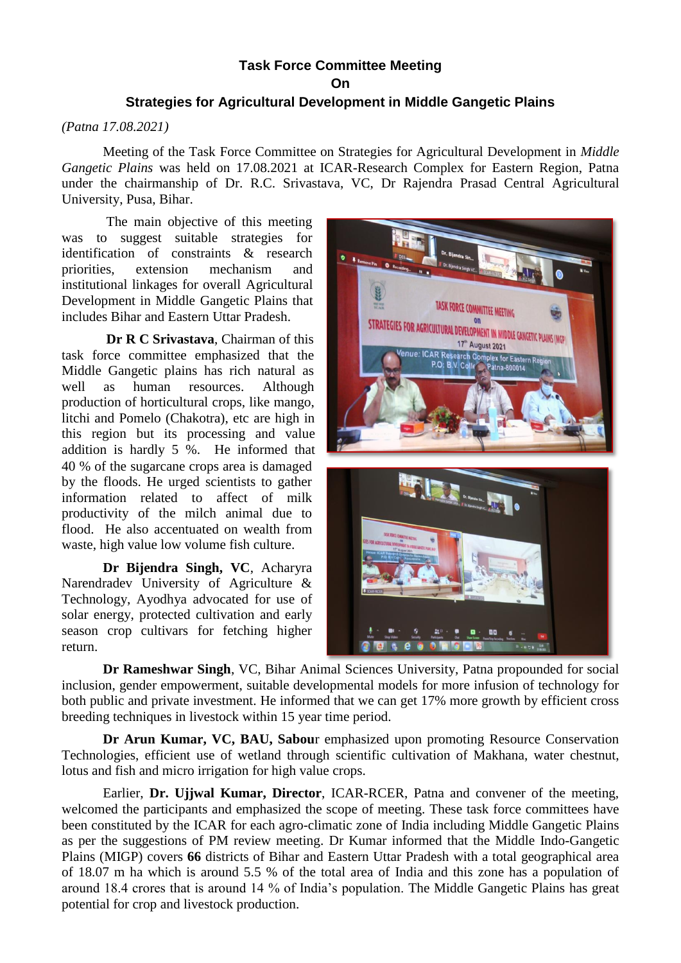## **Task Force Committee Meeting On**

## **Strategies for Agricultural Development in Middle Gangetic Plains**

## *(Patna 17.08.2021)*

Meeting of the Task Force Committee on Strategies for Agricultural Development in *Middle Gangetic Plains* was held on 17.08.2021 at ICAR-Research Complex for Eastern Region, Patna under the chairmanship of Dr. R.C. Srivastava, VC, Dr Rajendra Prasad Central Agricultural University, Pusa, Bihar.

The main objective of this meeting was to suggest suitable strategies for identification of constraints & research priorities, extension mechanism and institutional linkages for overall Agricultural Development in Middle Gangetic Plains that includes Bihar and Eastern Uttar Pradesh.

**Dr R C Srivastava**, Chairman of this task force committee emphasized that the Middle Gangetic plains has rich natural as well as human resources. Although production of horticultural crops, like mango, litchi and Pomelo (Chakotra), etc are high in this region but its processing and value addition is hardly 5 %. He informed that 40 % of the sugarcane crops area is damaged by the floods. He urged scientists to gather information related to affect of milk productivity of the milch animal due to flood. He also accentuated on wealth from waste, high value low volume fish culture.

**Dr Bijendra Singh, VC**, Acharyra Narendradev University of Agriculture & Technology, Ayodhya advocated for use of solar energy, protected cultivation and early season crop cultivars for fetching higher return.



**Dr Rameshwar Singh**, VC, Bihar Animal Sciences University, Patna propounded for social inclusion, gender empowerment, suitable developmental models for more infusion of technology for both public and private investment. He informed that we can get 17% more growth by efficient cross breeding techniques in livestock within 15 year time period.

**Dr Arun Kumar, VC, BAU, Sabou**r emphasized upon promoting Resource Conservation Technologies, efficient use of wetland through scientific cultivation of Makhana, water chestnut, lotus and fish and micro irrigation for high value crops.

Earlier, **Dr. Ujjwal Kumar, Director**, ICAR-RCER, Patna and convener of the meeting, welcomed the participants and emphasized the scope of meeting. These task force committees have been constituted by the ICAR for each agro-climatic zone of India including Middle Gangetic Plains as per the suggestions of PM review meeting. Dr Kumar informed that the Middle Indo-Gangetic Plains (MIGP) covers **66** districts of Bihar and Eastern Uttar Pradesh with a total geographical area of 18.07 m ha which is around 5.5 % of the total area of India and this zone has a population of around 18.4 crores that is around 14 % of India's population. The Middle Gangetic Plains has great potential for crop and livestock production.